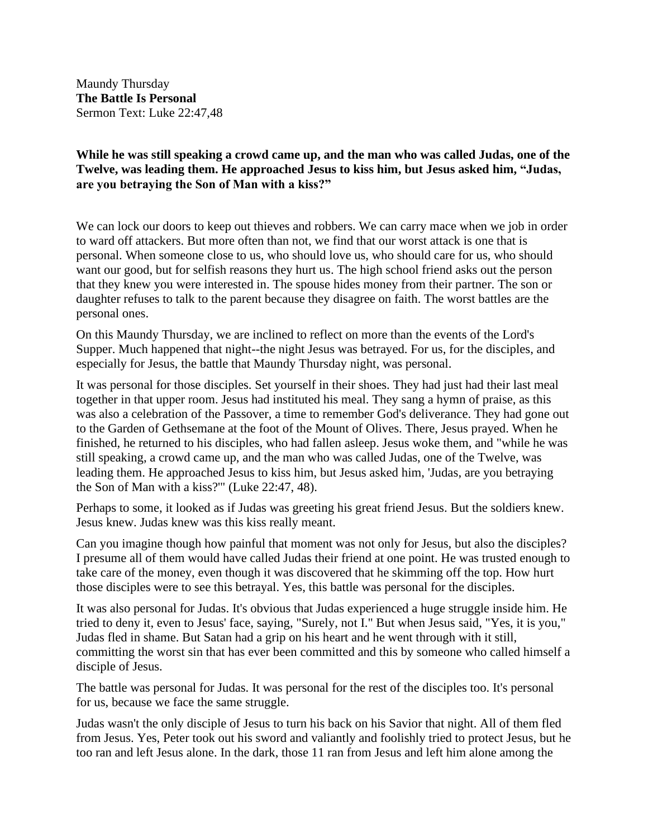Maundy Thursday **The Battle Is Personal** Sermon Text: Luke 22:47,48

**While he was still speaking a crowd came up, and the man who was called Judas, one of the Twelve, was leading them. He approached Jesus to kiss him, but Jesus asked him, "Judas, are you betraying the Son of Man with a kiss?"**

We can lock our doors to keep out thieves and robbers. We can carry mace when we job in order to ward off attackers. But more often than not, we find that our worst attack is one that is personal. When someone close to us, who should love us, who should care for us, who should want our good, but for selfish reasons they hurt us. The high school friend asks out the person that they knew you were interested in. The spouse hides money from their partner. The son or daughter refuses to talk to the parent because they disagree on faith. The worst battles are the personal ones.

On this Maundy Thursday, we are inclined to reflect on more than the events of the Lord's Supper. Much happened that night--the night Jesus was betrayed. For us, for the disciples, and especially for Jesus, the battle that Maundy Thursday night, was personal.

It was personal for those disciples. Set yourself in their shoes. They had just had their last meal together in that upper room. Jesus had instituted his meal. They sang a hymn of praise, as this was also a celebration of the Passover, a time to remember God's deliverance. They had gone out to the Garden of Gethsemane at the foot of the Mount of Olives. There, Jesus prayed. When he finished, he returned to his disciples, who had fallen asleep. Jesus woke them, and "while he was still speaking, a crowd came up, and the man who was called Judas, one of the Twelve, was leading them. He approached Jesus to kiss him, but Jesus asked him, 'Judas, are you betraying the Son of Man with a kiss?'" (Luke 22:47, 48).

Perhaps to some, it looked as if Judas was greeting his great friend Jesus. But the soldiers knew. Jesus knew. Judas knew was this kiss really meant.

Can you imagine though how painful that moment was not only for Jesus, but also the disciples? I presume all of them would have called Judas their friend at one point. He was trusted enough to take care of the money, even though it was discovered that he skimming off the top. How hurt those disciples were to see this betrayal. Yes, this battle was personal for the disciples.

It was also personal for Judas. It's obvious that Judas experienced a huge struggle inside him. He tried to deny it, even to Jesus' face, saying, "Surely, not I." But when Jesus said, "Yes, it is you," Judas fled in shame. But Satan had a grip on his heart and he went through with it still, committing the worst sin that has ever been committed and this by someone who called himself a disciple of Jesus.

The battle was personal for Judas. It was personal for the rest of the disciples too. It's personal for us, because we face the same struggle.

Judas wasn't the only disciple of Jesus to turn his back on his Savior that night. All of them fled from Jesus. Yes, Peter took out his sword and valiantly and foolishly tried to protect Jesus, but he too ran and left Jesus alone. In the dark, those 11 ran from Jesus and left him alone among the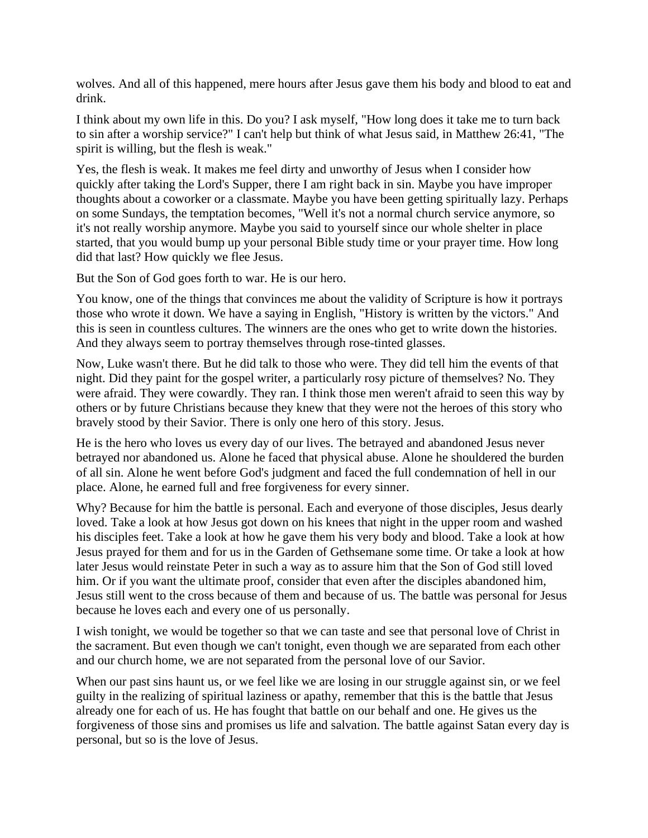wolves. And all of this happened, mere hours after Jesus gave them his body and blood to eat and drink.

I think about my own life in this. Do you? I ask myself, "How long does it take me to turn back to sin after a worship service?" I can't help but think of what Jesus said, in Matthew 26:41, "The spirit is willing, but the flesh is weak."

Yes, the flesh is weak. It makes me feel dirty and unworthy of Jesus when I consider how quickly after taking the Lord's Supper, there I am right back in sin. Maybe you have improper thoughts about a coworker or a classmate. Maybe you have been getting spiritually lazy. Perhaps on some Sundays, the temptation becomes, "Well it's not a normal church service anymore, so it's not really worship anymore. Maybe you said to yourself since our whole shelter in place started, that you would bump up your personal Bible study time or your prayer time. How long did that last? How quickly we flee Jesus.

But the Son of God goes forth to war. He is our hero.

You know, one of the things that convinces me about the validity of Scripture is how it portrays those who wrote it down. We have a saying in English, "History is written by the victors." And this is seen in countless cultures. The winners are the ones who get to write down the histories. And they always seem to portray themselves through rose-tinted glasses.

Now, Luke wasn't there. But he did talk to those who were. They did tell him the events of that night. Did they paint for the gospel writer, a particularly rosy picture of themselves? No. They were afraid. They were cowardly. They ran. I think those men weren't afraid to seen this way by others or by future Christians because they knew that they were not the heroes of this story who bravely stood by their Savior. There is only one hero of this story. Jesus.

He is the hero who loves us every day of our lives. The betrayed and abandoned Jesus never betrayed nor abandoned us. Alone he faced that physical abuse. Alone he shouldered the burden of all sin. Alone he went before God's judgment and faced the full condemnation of hell in our place. Alone, he earned full and free forgiveness for every sinner.

Why? Because for him the battle is personal. Each and everyone of those disciples, Jesus dearly loved. Take a look at how Jesus got down on his knees that night in the upper room and washed his disciples feet. Take a look at how he gave them his very body and blood. Take a look at how Jesus prayed for them and for us in the Garden of Gethsemane some time. Or take a look at how later Jesus would reinstate Peter in such a way as to assure him that the Son of God still loved him. Or if you want the ultimate proof, consider that even after the disciples abandoned him, Jesus still went to the cross because of them and because of us. The battle was personal for Jesus because he loves each and every one of us personally.

I wish tonight, we would be together so that we can taste and see that personal love of Christ in the sacrament. But even though we can't tonight, even though we are separated from each other and our church home, we are not separated from the personal love of our Savior.

When our past sins haunt us, or we feel like we are losing in our struggle against sin, or we feel guilty in the realizing of spiritual laziness or apathy, remember that this is the battle that Jesus already one for each of us. He has fought that battle on our behalf and one. He gives us the forgiveness of those sins and promises us life and salvation. The battle against Satan every day is personal, but so is the love of Jesus.